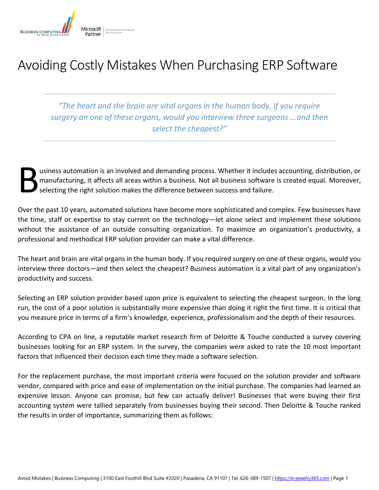

# Avoiding Costly Mistakes When Purchasing ERP Software

*"The heart and the brain are vital organs in the human body. If you require surgery on one of these organs, would you interview three surgeons ...and then select the cheapest?"*

usiness automation is an involved and demanding process. Whether it includes accounting, distribution, or manufacturing, it affects all areas within a business. Not all business software is created equal. Moreover, selecting the right solution makes the difference between success and failure. B

Over the past 10 years, automated solutions have become more sophisticated and complex. Few businesses have the time, staff or expertise to stay current on the technology—let alone select and implement these solutions without the assistance of an outside consulting organization. To maximize an organization's productivity, a professional and methodical ERP solution provider can make a vital difference.

The heart and brain are vital organs in the human body. If you required surgery on one of these organs, would you interview three doctors—and then select the cheapest? Business automation is a vital part of any organization's productivity and success.

Selecting an ERP solution provider based upon price is equivalent to selecting the cheapest surgeon. In the long run, the cost of a poor solution is substantially more expensive than doing it right the first time. It is critical that you measure price in terms of a firm's knowledge, experience, professionalism and the depth of their resources.

According to CPA on line, a reputable market research firm of Deloitte & Touche conducted a survey covering businesses looking for an ERP system. In the survey, the companies were asked to rate the 10 most important factors that influenced their decision each time they made a software selection.

For the replacement purchase, the most important criteria were focused on the solution provider and software vendor, compared with price and ease of implementation on the initial purchase. The companies had learned an expensive lesson. Anyone can promise, but few can actually deliver! Businesses that were buying their first accounting system were tallied separately from businesses buying their second. Then Deloitte & Touche ranked the results in order of importance, summarizing them as follows: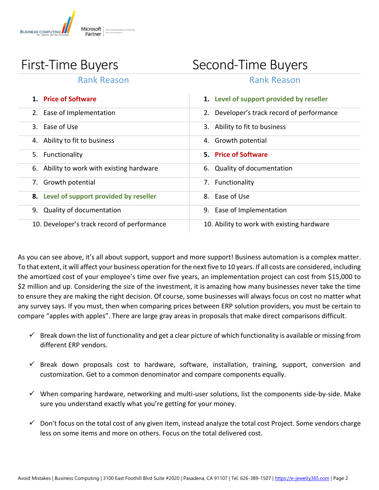

# First-Time Buyers Second-Time Buyers

### Rank Reason **Rank Reason**

| 1. Price of Software                        | 1. Level of support provided by reseller   |
|---------------------------------------------|--------------------------------------------|
| Ease of Implementation                      | Developer's track record of performance    |
| 3. Ease of Use                              | 3. Ability to fit to business              |
| 4. Ability to fit to business               | 4. Growth potential                        |
| Functionality<br>5.                         | 5. Price of Software                       |
| 6. Ability to work with existing hardware   | 6. Quality of documentation                |
| Growth potential<br>7.                      | Functionality<br>7.                        |
| 8. Level of support provided by reseller    | 8. Ease of Use                             |
| Quality of documentation<br>9.              | Ease of Implementation<br>9.               |
| 10. Developer's track record of performance | 10. Ability to work with existing hardware |

As you can see above, it's all about support, support and more support! Business automation is a complex matter. To that extent, it will affect your business operation for the next five to 10 years. If all costs are considered, including the amortized cost of your employee's time over five years, an implementation project can cost from \$15,000 to \$2 million and up. Considering the size of the investment, it is amazing how many businesses never take the time to ensure they are making the right decision. Of course, some businesses will always focus on cost no matter what any survey says. If you must, then when comparing prices between ERP solution providers, you must be certain to compare "apples with apples". There are large gray areas in proposals that make direct comparisons difficult.

- $\checkmark$  Break down the list of functionality and get a clear picture of which functionality is available or missing from different ERP vendors.
- $\checkmark$  Break down proposals cost to hardware, software, installation, training, support, conversion and customization. Get to a common denominator and compare components equally.
- $\checkmark$  When comparing hardware, networking and multi-user solutions, list the components side-by-side. Make sure you understand exactly what you're getting for your money.
- $\checkmark$  Don't focus on the total cost of any given item, instead analyze the total cost Project. Some vendors charge less on some items and more on others. Focus on the total delivered cost.